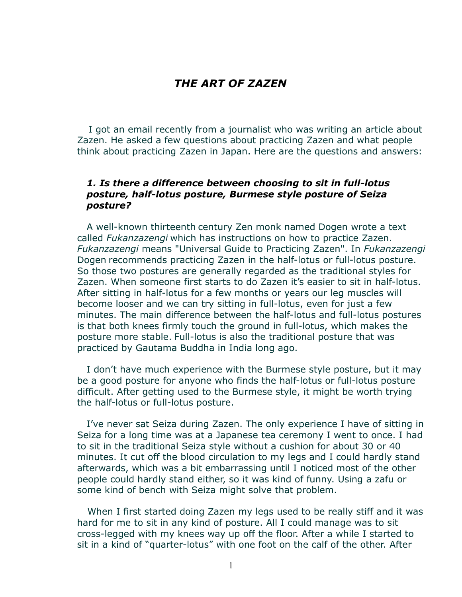# *THE ART OF ZAZEN*

I got an email recently from a journalist who was writing an article about Zazen. He asked a few questions about practicing Zazen and what people think about practicing Zazen in Japan. Here are the questions and answers:

#### *1. Is there a difference between choosing to sit in full-lotus posture, half-lotus posture, Burmese style posture of Seiza posture?*

A well-known thirteenth century Zen monk named Dogen wrote a text called *Fukanzazengi* which has instructions on how to practice Zazen. *Fukanzazengi* means "Universal Guide to Practicing Zazen". In *Fukanzazengi* Dogen recommends practicing Zazen in the half-lotus or full-lotus posture. So those two postures are generally regarded as the traditional styles for Zazen. When someone first starts to do Zazen it's easier to sit in half-lotus. After sitting in half-lotus for a few months or years our leg muscles will become looser and we can try sitting in full-lotus, even for just a few minutes. The main difference between the half-lotus and full-lotus postures is that both knees firmly touch the ground in full-lotus, which makes the posture more stable. Full-lotus is also the traditional posture that was practiced by Gautama Buddha in India long ago.

I don't have much experience with the Burmese style posture, but it may be a good posture for anyone who finds the half-lotus or full-lotus posture difficult. After getting used to the Burmese style, it might be worth trying the half-lotus or full-lotus posture.

I've never sat Seiza during Zazen. The only experience I have of sitting in Seiza for a long time was at a Japanese tea ceremony I went to once. I had to sit in the traditional Seiza style without a cushion for about 30 or 40 minutes. It cut off the blood circulation to my legs and I could hardly stand afterwards, which was a bit embarrassing until I noticed most of the other people could hardly stand either, so it was kind of funny. Using a zafu or some kind of bench with Seiza might solve that problem.

When I first started doing Zazen my legs used to be really stiff and it was hard for me to sit in any kind of posture. All I could manage was to sit cross-legged with my knees way up off the floor. After a while I started to sit in a kind of "quarter-lotus" with one foot on the calf of the other. After